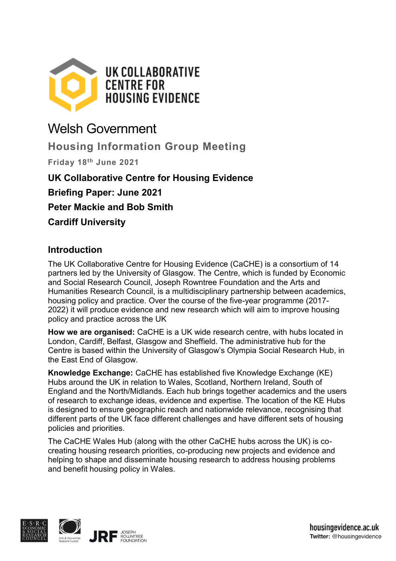

# Welsh Government

**Housing Information Group Meeting**

**Friday 18th June 2021**

## **UK Collaborative Centre for Housing Evidence**

**Briefing Paper: June 2021**

**Peter Mackie and Bob Smith**

**Cardiff University**

### **Introduction**

The UK Collaborative Centre for Housing Evidence (CaCHE) is a consortium of 14 partners led by the University of Glasgow. The Centre, which is funded by Economic and Social Research Council, Joseph Rowntree Foundation and the Arts and Humanities Research Council, is a multidisciplinary partnership between academics, housing policy and practice. Over the course of the five-year programme (2017- 2022) it will produce evidence and new research which will aim to improve housing policy and practice across the UK

**How we are organised:** CaCHE is a UK wide research centre, with hubs located in London, Cardiff, Belfast, Glasgow and Sheffield. The administrative hub for the Centre is based within the University of Glasgow's Olympia Social Research Hub, in the East End of Glasgow.

**Knowledge Exchange:** CaCHE has established five Knowledge Exchange (KE) Hubs around the UK in relation to Wales, Scotland, Northern Ireland, South of England and the North/Midlands. Each hub brings together academics and the users of research to exchange ideas, evidence and expertise. The location of the KE Hubs is designed to ensure geographic reach and nationwide relevance, recognising that different parts of the UK face different challenges and have different sets of housing policies and priorities.

The CaCHE Wales Hub (along with the other CaCHE hubs across the UK) is cocreating housing research priorities, co-producing new projects and evidence and helping to shape and disseminate housing research to address housing problems and benefit housing policy in Wales.



housingevidence.ac.uk Twitter: @housingevidence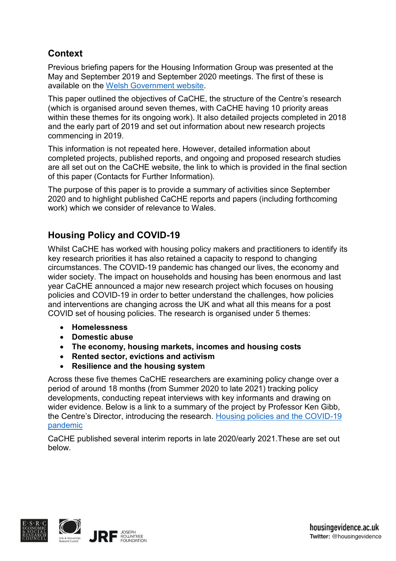# **Context**

Previous briefing papers for the Housing Information Group was presented at the May and September 2019 and September 2020 meetings. The first of these is available on the [Welsh Government website.](https://gov.wales/sites/default/files/publications/2019-06/housing-information-group-9-may-2019-uk-collaborative-centre-for-housing-evidence-briefing-paper-may-2019.pdf)

This paper outlined the objectives of CaCHE, the structure of the Centre's research (which is organised around seven themes, with CaCHE having 10 priority areas within these themes for its ongoing work). It also detailed projects completed in 2018 and the early part of 2019 and set out information about new research projects commencing in 2019.

This information is not repeated here. However, detailed information about completed projects, published reports, and ongoing and proposed research studies are all set out on the CaCHE website, the link to which is provided in the final section of this paper (Contacts for Further Information).

The purpose of this paper is to provide a summary of activities since September 2020 and to highlight published CaCHE reports and papers (including forthcoming work) which we consider of relevance to Wales.

### **Housing Policy and COVID-19**

Whilst CaCHE has worked with housing policy makers and practitioners to identify its key research priorities it has also retained a capacity to respond to changing circumstances. The COVID-19 pandemic has changed our lives, the economy and wider society. The impact on households and housing has been enormous and last year CaCHE announced a major new research project which focuses on housing policies and COVID-19 in order to better understand the challenges, how policies and interventions are changing across the UK and what all this means for a post COVID set of housing policies. The research is organised under 5 themes:

- **Homelessness**
- **Domestic abuse**
- **The economy, housing markets, incomes and housing costs**
- **Rented sector, evictions and activism**
- **Resilience and the housing system**

Across these five themes CaCHE researchers are examining policy change over a period of around 18 months (from Summer 2020 to late 2021) tracking policy developments, conducting repeat interviews with key informants and drawing on wider evidence. Below is a link to a summary of the project by Professor Ken Gibb, the Centre's Director, introducing the research. [Housing policies and the COVID-19](https://housingevidence.ac.uk/news/housing-policies-the-covid-19-pandemic/)  [pandemic](https://housingevidence.ac.uk/news/housing-policies-the-covid-19-pandemic/)

CaCHE published several interim reports in late 2020/early 2021.These are set out below.

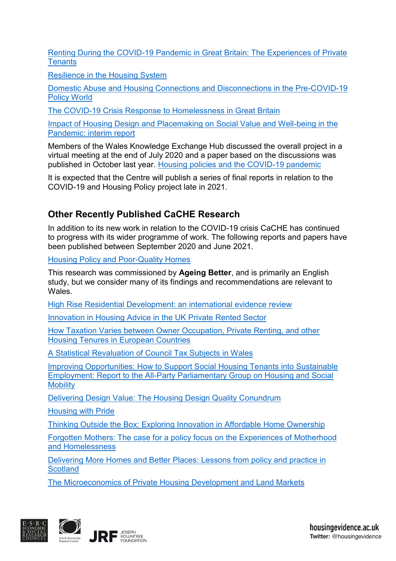[Renting During the COVID-19 Pandemic in Great Britain: The Experiences of Private](https://housingevidence.ac.uk/wp-content/uploads/2021/05/Renting-during-the-Covid-19-pandemic-in-Great-Britain-final.pdf)  **[Tenants](https://housingevidence.ac.uk/wp-content/uploads/2021/05/Renting-during-the-Covid-19-pandemic-in-Great-Britain-final.pdf)** 

[Resilience in the Housing System](https://housingevidence.ac.uk/wp-content/uploads/2021/03/Resilience-in-the-housing-system-interim-report.pdf)

[Domestic Abuse and Housing Connections and Disconnections in the Pre-COVID-19](https://housingevidence.ac.uk/wp-content/uploads/2021/02/DA-Covid-19-report.pdf)  [Policy World](https://housingevidence.ac.uk/wp-content/uploads/2021/02/DA-Covid-19-report.pdf)

[The COVID-19 Crisis Response to Homelessness in Great Britain](https://housingevidence.ac.uk/wp-content/uploads/2021/02/12544_UoG_CaCHE_Covid_Homelessness_Report-Final.pdf)

Impact of Housing Design [and Placemaking on Social Value and Well-being in the](https://housingevidence.ac.uk/wp-content/uploads/2020/10/Impact-of-housing-design-and-placemaking-Final-30.10.2020.pdf)  [Pandemic: interim report](https://housingevidence.ac.uk/wp-content/uploads/2020/10/Impact-of-housing-design-and-placemaking-Final-30.10.2020.pdf)

Members of the Wales Knowledge Exchange Hub discussed the overall project in a virtual meeting at the end of July 2020 and a paper based on the discussions was published in October last year. [Housing policies and the COVID-19 pandemic](https://housingevidence.ac.uk/wp-content/uploads/2020/10/Wales-Hub-July-2020-CaCHE-discussion-Final-Write-Up-3.pdf)

It is expected that the Centre will publish a series of final reports in relation to the COVID-19 and Housing Policy project late in 2021.

## **Other Recently Published CaCHE Research**

In addition to its new work in relation to the COVID-19 crisis CaCHE has continued to progress with its wider programme of work. The following reports and papers have been published between September 2020 and June 2021.

[Housing Policy and Poor-Quality Homes](https://housingevidence.ac.uk/wp-content/uploads/2021/05/CaCHE-Past-Present-Future-Housing-Policy.pdf)

This research was commissioned by **Ageing Better**, and is primarily an English study, but we consider many of its findings and recommendations are relevant to Wales.

[High Rise Residential Development: an international evidence review](https://housingevidence.ac.uk/wp-content/uploads/2021/04/High-rise-residential-development-InDesign-Final.pdf)

[Innovation in Housing Advice in the UK Private Rented Sector](https://housingevidence.ac.uk/wp-content/uploads/2021/03/Innovation-in-housing-advice-in-the-UK-PRS-1.pdf)

[How Taxation Varies between Owner Occupation, Private Renting, and other](https://housingevidence.ac.uk/wp-content/uploads/2021/02/European-Housing-Taxation-report-1.pdf)  [Housing Tenures in European Countries](https://housingevidence.ac.uk/wp-content/uploads/2021/02/European-Housing-Taxation-report-1.pdf)

[A Statistical Revaluation of Council Tax Subjects in Wales](https://housingevidence.ac.uk/wp-content/uploads/2021/02/Revaluation-of-council-tax-in-Wales-Final-version-February-2021.pdf)

[Improving Opportunities: How to Support Social Housing Tenants into Sustainable](https://housingevidence.ac.uk/wp-content/uploads/2020/11/Improving-Opportunities-APPG-Inquiry-full-report.pdf)  [Employment: Report to the All-Party Parliamentary Group on Housing and Social](https://housingevidence.ac.uk/wp-content/uploads/2020/11/Improving-Opportunities-APPG-Inquiry-full-report.pdf)  **[Mobility](https://housingevidence.ac.uk/wp-content/uploads/2020/11/Improving-Opportunities-APPG-Inquiry-full-report.pdf)** 

[Delivering Design Value: The Housing Design Quality Conundrum](https://housingevidence.ac.uk/wp-content/uploads/2020/12/12506_CaCHE_Delivering_Design_Main_Report_IA-1.pdf)

[Housing with Pride](https://housingevidence.ac.uk/wp-content/uploads/2020/11/Housing-with-Pride-report-1.pdf)

[Thinking Outside the Box: Exploring Innovation in Affordable Home Ownership](https://housingevidence.ac.uk/wp-content/uploads/2020/11/Thinking-outside-the-box-Exploring-innovations-in-affordable-home-ownership-Final-for-publication-11.11.20.pdf)

[Forgotten Mothers: The case for a policy focus on the Experiences of Motherhood](https://housingevidence.ac.uk/wp-content/uploads/2020/11/Motherhood-and-homelessness-policy-brief.pdf)  [and Homelessness](https://housingevidence.ac.uk/wp-content/uploads/2020/11/Motherhood-and-homelessness-policy-brief.pdf)

[Delivering More Homes and Better Places: Lessons from policy and practice in](https://housingevidence.ac.uk/wp-content/uploads/2020/10/201005-Delivering-More-Homes-and-Better-Places-October-2020.pdf)  **[Scotland](https://housingevidence.ac.uk/wp-content/uploads/2020/10/201005-Delivering-More-Homes-and-Better-Places-October-2020.pdf)** 

[The Microeconomics of Private Housing Development and Land Markets](https://housingevidence.ac.uk/publications/the-micro-economics-of-private-housing-development-and-land-markets/)

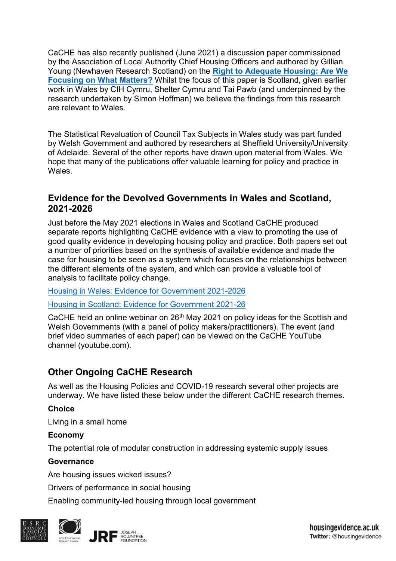CaCHE has also recently published (June 2021) a discussion paper commissioned by the Association of Local Authority Chief Housing Officers and authored by Gillian Young (Newhaven Research Scotland) on the **[Right to Adequate Housing: Are We](https://housingevidence.ac.uk/wp-content/uploads/2021/06/ALACHO-HR-PAPER.pdf)  [Focusing on What Matters?](https://housingevidence.ac.uk/wp-content/uploads/2021/06/ALACHO-HR-PAPER.pdf)** Whilst the focus of this paper is Scotland, given earlier work in Wales by CIH Cymru, Shelter Cymru and Tai Pawb (and underpinned by the research undertaken by Simon Hoffman) we believe the findings from this research are relevant to Wales.

The Statistical Revaluation of Council Tax Subjects in Wales study was part funded by Welsh Government and authored by researchers at Sheffield University/University of Adelaide. Several of the other reports have drawn upon material from Wales. We hope that many of the publications offer valuable learning for policy and practice in Wales.

### **Evidence for the Devolved Governments in Wales and Scotland, 2021-2026**

Just before the May 2021 elections in Wales and Scotland CaCHE produced separate reports highlighting CaCHE evidence with a view to promoting the use of good quality evidence in developing housing policy and practice. Both papers set out a number of priorities based on the synthesis of available evidence and made the case for housing to be seen as a system which focuses on the relationships between the different elements of the system, and which can provide a valuable tool of analysis to facilitate policy change.

[Housing in Wales: Evidence for Government 2021-2026](https://housingevidence.ac.uk/wp-content/uploads/2021/04/Welsh-paper.pdf)

[Housing in Scotland: Evidence for Government 2021-26](https://housingevidence.ac.uk/wp-content/uploads/2021/04/HousinginScotland_EvidenceforScottishGovernment_2021_26_FINAL.pdf)

CaCHE held an online webinar on 26<sup>th</sup> May 2021 on policy ideas for the Scottish and Welsh Governments (with a panel of policy makers/practitioners). The event (and brief video summaries of each paper) can be viewed on the CaCHE YouTube channel (youtube.com).

# **Other Ongoing CaCHE Research**

As well as the Housing Policies and COVID-19 research several other projects are underway. We have listed these below under the different CaCHE research themes.

#### **Choice**

Living in a small home

#### **Economy**

The potential role of modular construction in addressing systemic supply issues

### **Governance**

Are housing issues wicked issues?

Drivers of performance in social housing

Enabling community-led housing through local government

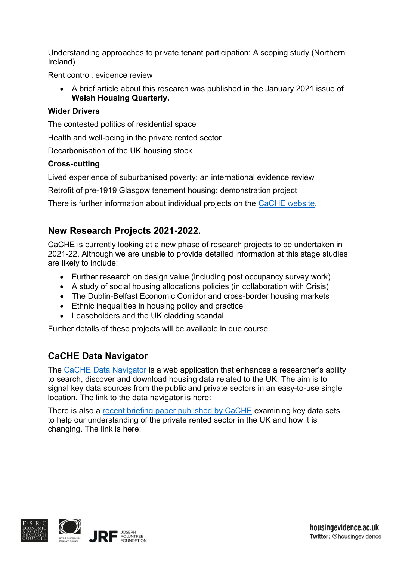Understanding approaches to private tenant participation: A scoping study (Northern Ireland)

Rent control: evidence review

 A brief article about this research was published in the January 2021 issue of **Welsh Housing Quarterly.**

#### **Wider Drivers**

The contested politics of residential space

Health and well-being in the private rented sector

Decarbonisation of the UK housing stock

#### **Cross-cutting**

Lived experience of suburbanised poverty: an international evidence review

Retrofit of pre-1919 Glasgow tenement housing: demonstration project

There is further information about individual projects on the [CaCHE website.](https://housingevidence.ac.uk/our-work/research-projects/)

### **New Research Projects 2021-2022.**

CaCHE is currently looking at a new phase of research projects to be undertaken in 2021-22. Although we are unable to provide detailed information at this stage studies are likely to include:

- Further research on design value (including post occupancy survey work)
- A study of social housing allocations policies (in collaboration with Crisis)
- The Dublin-Belfast Economic Corridor and cross-border housing markets
- Ethnic inequalities in housing policy and practice
- Leaseholders and the UK cladding scandal

Further details of these projects will be available in due course.

## **CaCHE Data Navigator**

The [CaCHE Data Navigator](https://cache-web-live.cf.ac.uk/) is a web application that enhances a researcher's ability to search, discover and download housing data related to the UK. The aim is to signal key data sources from the public and private sectors in an easy-to-use single location. The link to the data navigator is here:

There is also a [recent briefing paper published by CaCHE](https://housingevidence.ac.uk/publications/briefing-paper-uk-private-rented-sector-data/) examining key data sets to help our understanding of the private rented sector in the UK and how it is changing. The link is here: